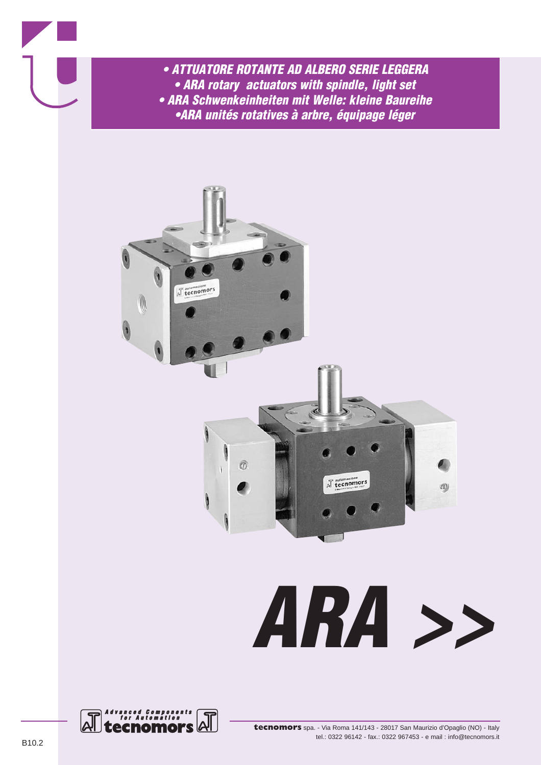- *ATTUATORE ROTANTE AD ALBERO SERIE LEGGERA • ARA rotary actuators with spindle, light set • ARA Schwenkeinheiten mit Welle: kleine Baureihe*
	- *•ARA unités rotatives à arbre, équipage léger*



## *ARA >>*

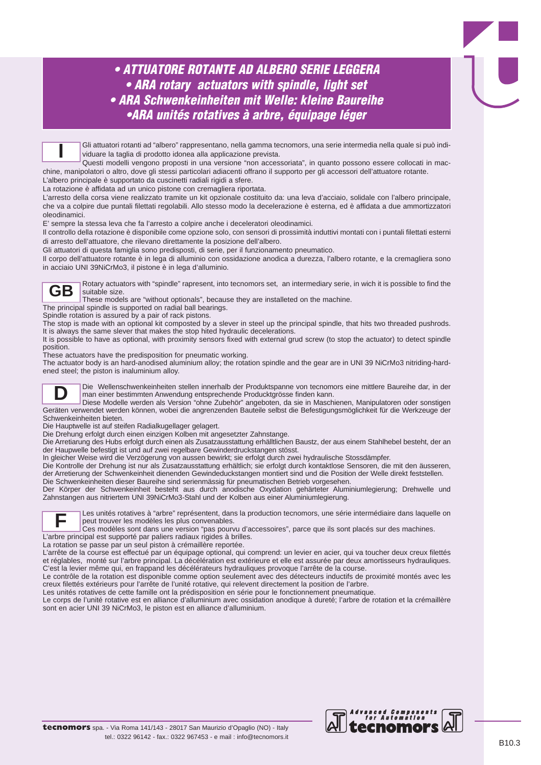Gli attuatori rotanti ad "albero" rappresentano, nella gamma tecnomors, una serie intermedia nella quale si può individuare la taglia di prodotto idonea alla applicazione prevista.

Questi modelli vengono proposti in una versione "non accessoriata", in quanto possono essere collocati in macchine, manipolatori o altro, dove gli stessi particolari adiacenti offrano il supporto per gli accessori dell'attuatore rotante. **I**

L'albero principale è supportato da cuscinetti radiali rigidi a sfere.

La rotazione è affidata ad un unico pistone con cremagliera riportata.

L'arresto della corsa viene realizzato tramite un kit opzionale costituito da: una leva d'acciaio, solidale con l'albero principale, che va a colpire due puntali filettati regolabili. Allo stesso modo la decelerazione è esterna, ed è affidata a due ammortizzatori oleodinamici.

E' sempre la stessa leva che fa l'arresto a colpire anche i deceleratori oleodinamici.

Il controllo della rotazione è disponibile come opzione solo, con sensori di prossimità induttivi montati con i puntali filettati esterni di arresto dell'attuatore, che rilevano direttamente la posizione dell'albero.

Gli attuatori di questa famiglia sono predisposti, di serie, per il funzionamento pneumatico.

Il corpo dell'attuatore rotante è in lega di alluminio con ossidazione anodica a durezza, l'albero rotante, e la cremagliera sono in acciaio UNI 39NiCrMo3, il pistone è in lega d'alluminio.

**GB**

Rotary actuators with "spindle" rapresent, into tecnomors set, an intermediary serie, in wich it is possible to find the suitable size.

These models are "without optionals", because they are installeted on the machine.

The principal spindle is supported on radial ball bearings.

Spindle rotation is assured by a pair of rack pistons.

The stop is made with an optional kit composted by a slever in steel up the principal spindle, that hits two threaded pushrods. It is always the same slever that makes the stop hited hydraulic decelerations.

It is possible to have as optional, with proximity sensors fixed with external grud screw (to stop the actuator) to detect spindle position.

These actuators have the predisposition for pneumatic working.

The actuator body is an hard-anodised aluminium alloy; the rotation spindle and the gear are in UNI 39 NiCrMo3 nitriding-hardened steel; the piston is inaluminium alloy.



Die Wellenschwenkeinheiten stellen innerhalb der Produktspanne von tecnomors eine mittlere Baureihe dar, in der man einer bestimmten Anwendung entsprechende Producktgrösse finden kann.

Diese Modelle werden als Version "ohne Zubehör" angeboten, da sie in Maschienen, Manipulatoren oder sonstigen Geräten verwendet werden können, wobei die angrenzenden Bauteile selbst die Befestigungsmöglichkeit für die Werkzeuge der Schwenkeinheiten bieten.

Die Hauptwelle ist auf steifen Radialkugellager gelagert.

Die Drehung erfolgt durch einen einzigen Kolben mit angesetzter Zahnstange.

Die Arretiarung des Hubs erfolgt durch einen als Zusatzausstattung erhälltlichen Baustz, der aus einem Stahlhebel besteht, der an der Haupwelle befestigt ist und auf zwei regelbare Gewinderdruckstangen stösst.

In gleicher Weise wird die Verzögerung von aussen bewirkt; sie erfolgt durch zwei hydraulische Stossdämpfer.

Die Kontrolle der Drehung ist nur als Zusatzausstattung erhältlich; sie erfolgt durch kontaktlose Sensoren, die mit den äusseren, der Arretierung der Schwenkeinheit dienenden Gewindeduckstangen montiert sind und die Position der Welle direkt feststellen. Die Schwenkeinheiten dieser Baureihe sind serienmässig für pneumatischen Betrieb vorgesehen.

Der Körper der Schwenkeinheit besteht aus durch anodische Oxydation gehärteter Aluminiumlegierung; Drehwelle und Zahnstangen aus nitriertem UNI 39NiCrMo3-Stahl und der Kolben aus einer Aluminiumlegierung.



Les unités rotatives à "arbre" représentent, dans la production tecnomors, une série intermédiaire dans laquelle on peut trouver les modèles les plus convenables.

Ces modèles sont dans une version "pas pourvu d'accessoires", parce que ils sont placés sur des machines.

L'arbre principal est supporté par paliers radiaux rigides à brilles.

La rotation se passe par un seul piston à crémaillère reportée.

L'arrête de la course est effectué par un équipage optional, qui comprend: un levier en acier, qui va toucher deux creux filettés et réglables, monté sur l'arbre principal. La décélération est extérieure et elle est assurée par deux amortisseurs hydrauliques. C'est la levier même qui, en frappand les décélérateurs hydrauliques provoque l'arrête de la course.

Le contrôle de la rotation est disponible comme option seulement avec des détecteurs inductifs de proximité montés avec les creux filettés extérieurs pour l'arrête de l'unité rotative, qui relevent directement la position de l'arbre.

Les unités rotatives de cette famille ont la prédisposition en série pour le fonctionnement pneumatique.

Le corps de l'unité rotative est en alliance d'alluminium avec ossidation anodique à dureté; l'arbre de rotation et la crémaillère sont en acier UNI 39 NiCrMo3, le piston est en alliance d'alluminium.

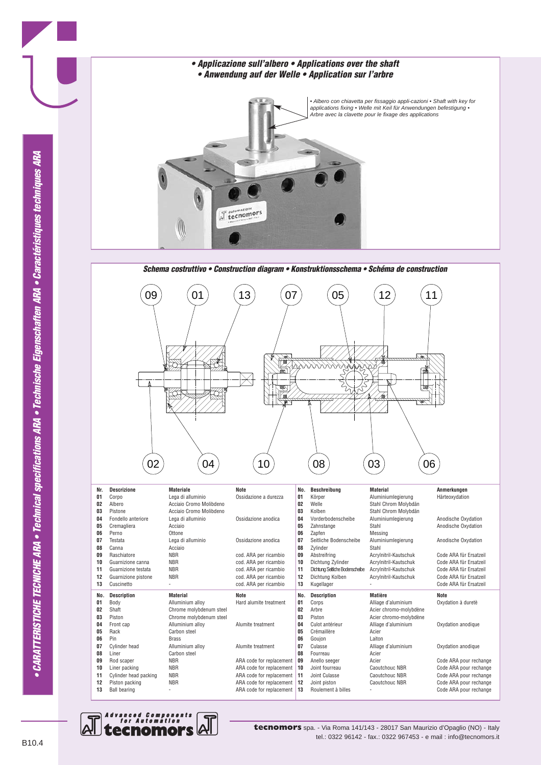

03) (06 08 **No. Description Matière Note 01** Corps **Corps Alliage d'aluminium** Oxydation à duretè **02** Arbre Acier chromo-molybdène **03** Piston **Acier chromo-molybdène**<br>**04** Culot antérieur **Alliage d'aluminium 04** Culot antérieur Alliage d'aluminium Oxydation anodique **Crémaillère 06** Goujon Laiton **07** Culasse Alliage d'aluminium Oxydation anodique **08** Fourreau **Acier**<br> **09** Anello seeger Acier Code ARA pour rechange **10** Joint fourreau **Caoutchouc NBR** Code ARA pour rechange<br> **11** Joint Culasse Caoutchouc NBR Code ARA pour rechange Code ARA pour rechange **12** Joint piston Caoutchouc NBR Code ARA pour rechange **13** Roulement à billes - Code ARA pour rechange **No. Beschreibung Material Anmerkungen 01** Körper Aluminiumlegierung Härteoxydation<br>**02** Welle Stahl Chrom Molybdän Stahl Chrom Molybdän **03** Kolben Stahl Chrom Molybdän **04** Vorderbodenscheibe Aluminiumlegierung Anodische Oxydation<br>**05** Zahnstange Stahl Stahl Anodische Oxydation **05 Zahnstange** Stahl **Stahl Anodische Oxydation**<br> **06 Zapfen Messing 06** *Zapfen* **Messing**<br>**07** Seitliche Bodenscheibe Aluminiumlegierung **07 Seitliche Bodenscheibe** Aluminiumlegierung Anodische Oxydation<br> **08 Zylinder** Stahl **Anodische Oxydation** Zylinder 09 Abstreifring **Acrylnitril-Kautschuk** Code ARA für Ersatzeil **10** Dichtung Zylinder Acrylnitril-Kautschuk Code ARA für Ersatzeil 11 Dichtung Seitliche Bodenscheibe Acrylnitril-Kautschuk<br>11 Dichtung Kolben Acrylnitril-Kautschuk **12** Dichtung Kolben Acrylnitril-Kautschuk Code ARA für Ersatzeil **Code ARA für Ersatzeil** 



**10** Liner packing **10** NBR **11** Cylinder head packing **NBR 11** ARA code for replacement

**12** Piston packing **NBR** ARA code for replacement **13** Ball bearing **13** Ball bearing **13** ARA code for replacement

ARA code for replacement





Ñ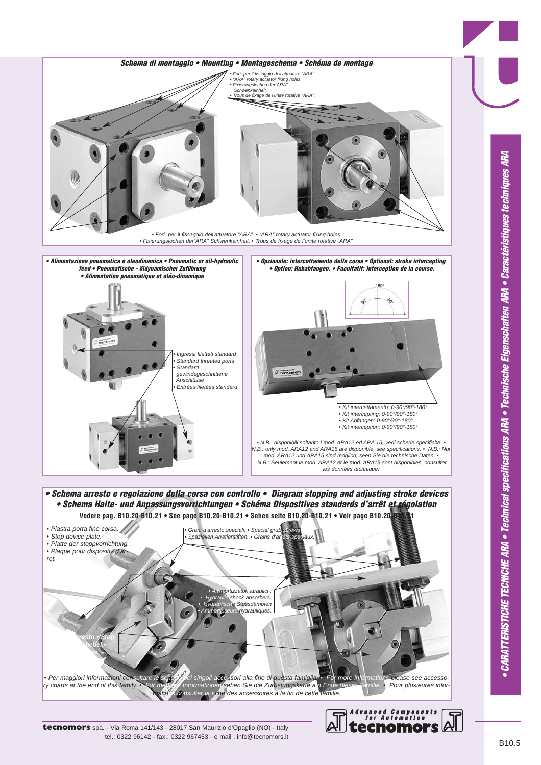

*• Schema Halte- und Anpassungsvorrichtungen • Schéma Dispositives standards d'arrêt et régolation*  **Vedere pag. B10.20-B10.21 • See page B10.20-B10.21 • Sehen seite B10.20-B10.21 • Voir page B10.20-B10.21**



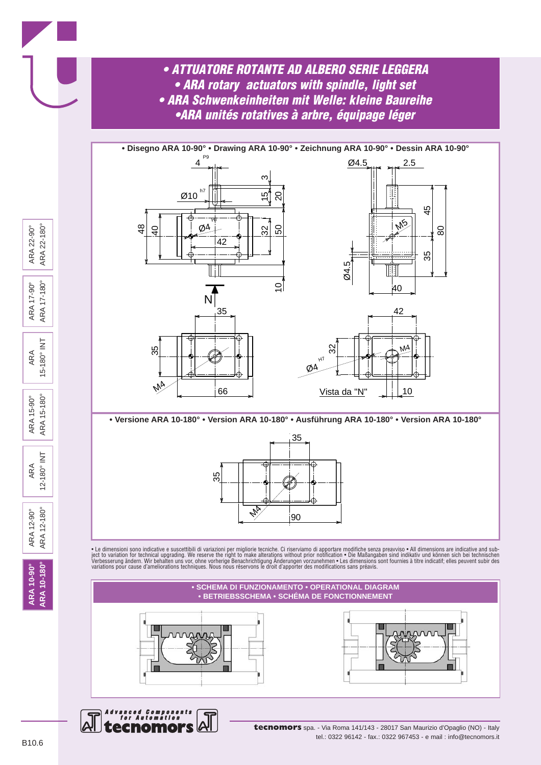

*Advanced Components for Automation* ecnomo

**tecnomors** spa. - Via Roma 141/143 - 28017 San Maurizio d'Opaglio (NO) - Italy tel.: 0322 96142 - fax.: 0322 967453 - e mail : info@tecnomors.it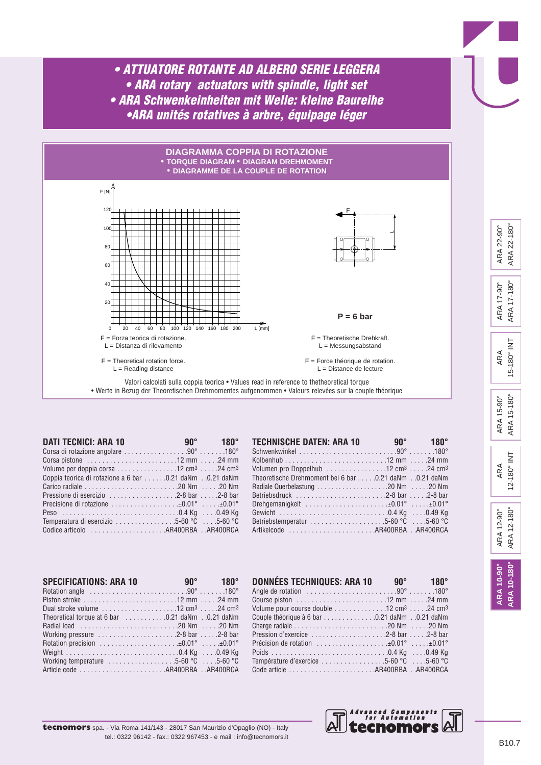

| <b>DATI TECNICI: ARA 10</b>                                                                                  | and the set of $90^{\circ}$ and $180^{\circ}$ |
|--------------------------------------------------------------------------------------------------------------|-----------------------------------------------|
| Corsa di rotazione angolare 90° 180°                                                                         |                                               |
|                                                                                                              |                                               |
| Volume per doppia corsa $\ldots \ldots \ldots \ldots \ldots$ 12 cm <sup>3</sup> $\ldots$ .24 cm <sup>3</sup> |                                               |
| Coppia teorica di rotazione a 6 bar 0.21 daNm 0.21 daNm                                                      |                                               |
|                                                                                                              |                                               |
|                                                                                                              |                                               |
| Precisione di rotazione ±0.01° ±0.01°                                                                        |                                               |
|                                                                                                              |                                               |
| Temperatura di esercizio 5-60 °C 5-60 °C                                                                     |                                               |
|                                                                                                              |                                               |

| <b>TECHNISCHE DATEN: ARA 10</b>                                                                            | $90^{\circ}$ 180° |
|------------------------------------------------------------------------------------------------------------|-------------------|
|                                                                                                            |                   |
|                                                                                                            |                   |
| Volumen pro Doppelhub $\ldots \ldots \ldots \ldots \ldots 12$ cm <sup>3</sup> $\ldots$ .24 cm <sup>3</sup> |                   |
| Theoretische Drehmoment bei 6 bar 0.21 daNm 0.21 daNm                                                      |                   |
|                                                                                                            |                   |
| Betriebsdruck 2-8 bar 2-8 bar                                                                              |                   |
|                                                                                                            |                   |
|                                                                                                            |                   |
| Betriebstemperatur 5-60 °C 5-60 °C                                                                         |                   |
| Artikelcode AR400RBA AR400RCA                                                                              |                   |

| <b>SPECIFICATIONS: ARA 10</b>                                                                                  | and $90^{\circ}$ and $180^{\circ}$ |
|----------------------------------------------------------------------------------------------------------------|------------------------------------|
| Rotation angle $\ldots \ldots \ldots \ldots \ldots \ldots \ldots \ldots \ldots \ldots$ .90°180°                |                                    |
|                                                                                                                |                                    |
| Dual stroke volume $\ldots \ldots \ldots \ldots \ldots \ldots 12$ cm <sup>3</sup> $\ldots$ .24 cm <sup>3</sup> |                                    |
| Theoretical torque at 6 bar 0.21 daNm 0.21 daNm                                                                |                                    |
|                                                                                                                |                                    |
| Working pressure $\dots\dots\dots\dots\dots\dots$ . 2-8 bar $\dots$ . 2-8 bar                                  |                                    |
| Rotation precision $\dots\dots\dots\dots\dots\dots\dots\pm 0.01^\circ$ $\pm 0.01^\circ$                        |                                    |
|                                                                                                                |                                    |
| Working temperature $\dots\dots\dots\dots\dots5-60$ °C $\dots$ 5-60 °C                                         |                                    |
|                                                                                                                |                                    |

tel.: 0322 96142 - fax.: 0322 967453 - e mail : info@tecnomors.it

| <b>DONNÉES TECHNIQUES: ARA 10</b>                                                                       | $90^\circ$ 180 $^\circ$ |
|---------------------------------------------------------------------------------------------------------|-------------------------|
|                                                                                                         |                         |
|                                                                                                         |                         |
| Volume pour course double $\ldots \ldots \ldots \ldots 12$ cm <sup>3</sup> $\ldots$ .24 cm <sup>3</sup> |                         |
|                                                                                                         |                         |
|                                                                                                         |                         |
|                                                                                                         |                         |
| Précision de rotation $\dots\dots\dots\dots\dots\dots\pm 0.01^\circ$ $\dots\dots\pm 0.01^\circ$         |                         |
|                                                                                                         |                         |
| Température d'exercice 5-60 °C 5-60 °C                                                                  |                         |
|                                                                                                         |                         |



**ARA 10-90° ARA 10-180°**

**ARA 10-180°** ARA 10-90°

ARA 12-90° ARA 12-180°

ARA 12-180° ARA 12-90°

ARA 12-180° INT

12-180° INT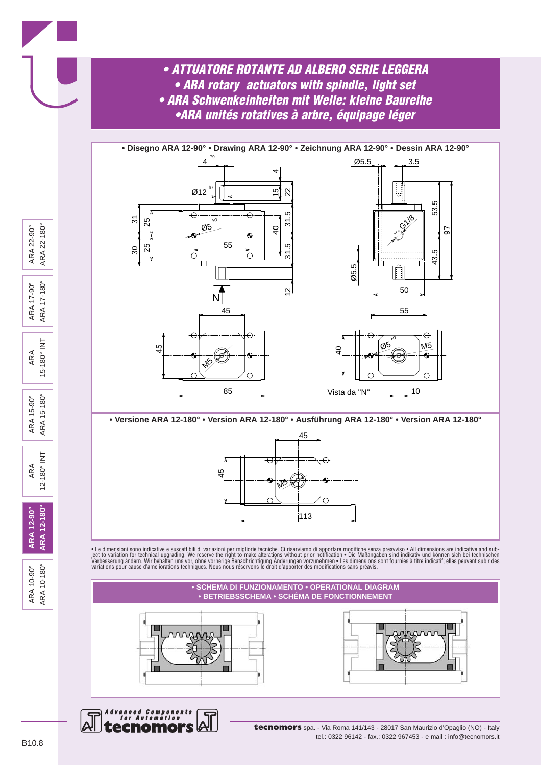



*Advanced Components for Automation*

ecnomo





**tecnomors** spa. - Via Roma 141/143 - 28017 San Maurizio d'Opaglio (NO) - Italy tel.: 0322 96142 - fax.: 0322 967453 - e mail : info@tecnomors.it

ARA 10-90° ARA 10-180°

ARA 10-180° ARA 10-90°

**ARA 12-90° ARA 12-180°**

ARA 12-180° ARA 12-90°

ARA 12-180° INT

ARA 15-90° ARA 15-180°

ARA 15-180° INT

ARA 17-90° ARA 17-180°

ARA 17-180° ARA 17-90°

 $\overline{\underline{z}}$ 

 $15 - 180°$ 

 $15 - 180^{\circ}$ ARA 15-90° ARA<sub>1</sub>

 $\overline{\underline{z}}$ 

 $12 - 180°$ 

ARA 22-90° ARA 22-180°

ARA 22-180° ARA 22-90°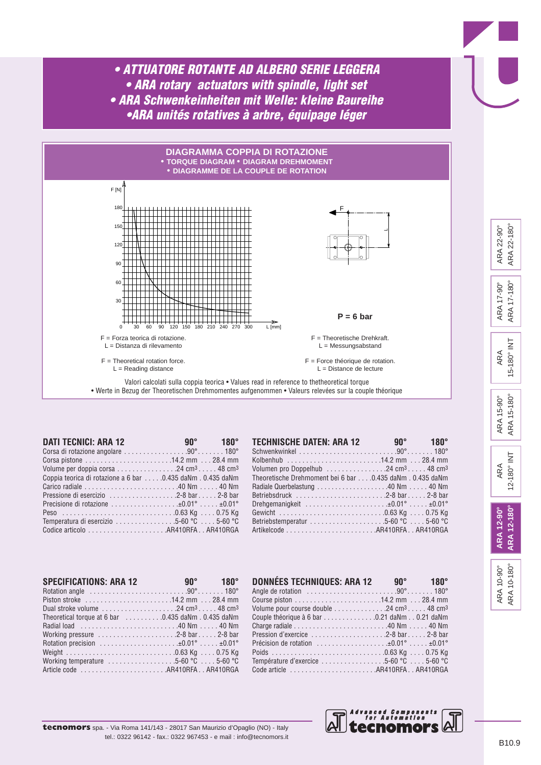

| <b>DATI TECNICI: ARA 12</b>                                                                            | and the set of $90^{\circ}$ and $180^{\circ}$ |  |
|--------------------------------------------------------------------------------------------------------|-----------------------------------------------|--|
|                                                                                                        |                                               |  |
|                                                                                                        |                                               |  |
| Volume per doppia corsa $\ldots \ldots \ldots \ldots 24$ cm <sup>3</sup> $\ldots$ . 48 cm <sup>3</sup> |                                               |  |
| Coppia teorica di rotazione a 6 bar  0.435 daNm . 0.435 daNm                                           |                                               |  |
|                                                                                                        |                                               |  |
|                                                                                                        |                                               |  |
|                                                                                                        |                                               |  |
|                                                                                                        |                                               |  |
| Temperatura di esercizio $\ldots \ldots \ldots \ldots 5$ -60 °C $\ldots 5$ -60 °C                      |                                               |  |
|                                                                                                        |                                               |  |

| <b>TECHNISCHE DATEN: ARA 12</b>                                                                                    | and $90^\circ$ and $180^\circ$ |  |
|--------------------------------------------------------------------------------------------------------------------|--------------------------------|--|
| Schwenkwinkel $\ldots, \ldots, \ldots, \ldots, \ldots, \ldots, 90^\circ, \ldots, \ldots, 180^\circ$                |                                |  |
| Kolbenhub 14.2 mm  28.4 mm                                                                                         |                                |  |
| Volumen pro Doppelhub $\ldots \ldots \ldots \ldots \ldots 24$ cm <sup>3</sup> 48 cm <sup>3</sup>                   |                                |  |
| Theoretische Drehmoment bei 6 bar 0.435 daNm . 0.435 daNm                                                          |                                |  |
| Radiale Querbelastung 40 Nm  40 Nm                                                                                 |                                |  |
|                                                                                                                    |                                |  |
| Drehgemanigkeit $\ldots \ldots \ldots \ldots \ldots \ldots \ldots \pm 0.01^{\circ} \ldots \ldots \pm 0.01^{\circ}$ |                                |  |
|                                                                                                                    |                                |  |
| Betriebstemperatur $\ldots \ldots \ldots \ldots \ldots \ldots 5$ -60 °C $\ldots 5$ -60 °C                          |                                |  |
|                                                                                                                    |                                |  |

| <b>SPECIFICATIONS: ARA 12</b><br>Rotation angle $\ldots \ldots \ldots \ldots \ldots \ldots \ldots \ldots \ldots 90^{\circ} \ldots \ldots 180^{\circ}$ | and $90^{\circ}$ and $180^{\circ}$ |  |
|-------------------------------------------------------------------------------------------------------------------------------------------------------|------------------------------------|--|
| Piston stroke 14.2 mm  28.4 mm                                                                                                                        |                                    |  |
| Dual stroke volume $\ldots \ldots \ldots \ldots \ldots 24 \text{ cm}^3 \ldots 48 \text{ cm}^3$                                                        |                                    |  |
| Theoretical torque at 6 bar 0.435 daNm . 0.435 daNm                                                                                                   |                                    |  |
|                                                                                                                                                       |                                    |  |
| Working pressure $\dots\dots\dots\dots\dots\dots$ . 2-8 bar 2-8 bar                                                                                   |                                    |  |
| Rotation precision $\dots\dots\dots\dots\dots\dots\dots\ldots$                                                                                        |                                    |  |
|                                                                                                                                                       |                                    |  |
| Working temperature $\ldots \ldots \ldots \ldots \ldots 5$ -60 °C $\ldots 5$ -60 °C                                                                   |                                    |  |
|                                                                                                                                                       |                                    |  |

| DONNÉES TECHNIQUES: ARA 12                                  | $90^\circ$ 180° |  |
|-------------------------------------------------------------|-----------------|--|
|                                                             |                 |  |
|                                                             |                 |  |
| Volume pour course double 48 cm <sup>3</sup>                |                 |  |
| Couple théorique à 6 bar 0.21 daNm 0.21 daNm                |                 |  |
|                                                             |                 |  |
|                                                             |                 |  |
| Précision de rotation $\dots\dots\dots\dots\dots\dots\dots$ |                 |  |
|                                                             |                 |  |
| Température d'exercice 5-60 °C 5-60 °C                      |                 |  |
|                                                             |                 |  |



|                     | Advanced<br>for Au |
|---------------------|--------------------|
| naglio (NO) - Italy | <b>tecn</b>        |

ARA 10-90° ARA 10-180°

ARA 10-180° ARA 10-90°

**ARA 12-90° ARA 12-180°**

ARA 12-180° ARA 12-90°

ARA 12-180° INT

12-180° INT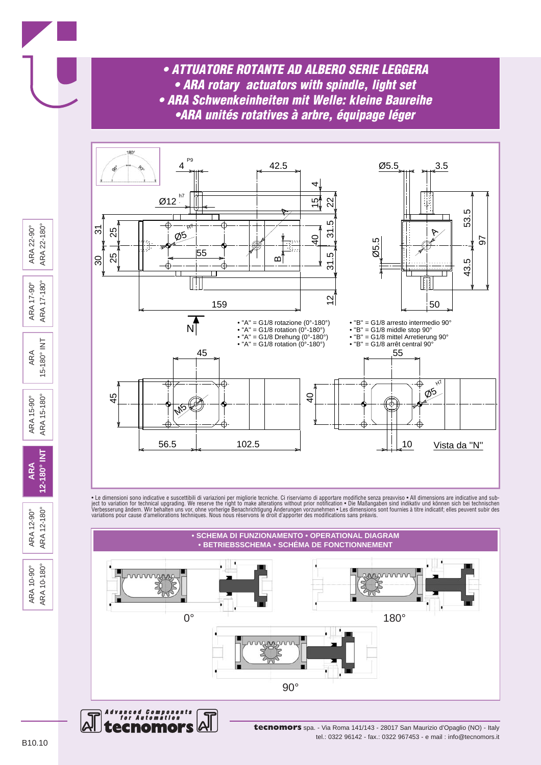



• Le dimensioni sono indicative e suscettibili di variazioni per migliorie tecniche. Ci riserviamo di apportare modifiche senza preavviso • All dimensions are indicative and sub-<br>ject to variation for technical upgrading.





**tecnomors** spa. - Via Roma 141/143 - 28017 San Maurizio d'Opaglio (NO) - Italy tel.: 0322 96142 - fax.: 0322 967453 - e mail : info@tecnomors.it

ARA 10-90° ARA 10-180°

ARA 10-180° ARA 10-90°

ARA 12-90° ARA 12-180°

ARA 12-180° ARA 12-90°

**ARA 12-180° INT**

ARA 15-90° ARA 15-180°

ARA 15-180° INT

15-180° INT

 $15 - 180°$ ARA 15-90°

ARA<sub>1</sub>

12-180° INT

ARA 17-90° ARA 17-180°

ARA 17-180° ARA 17-90°

ARA 22-90° ARA 22-180°

ARA 22-180° ARA 22-90°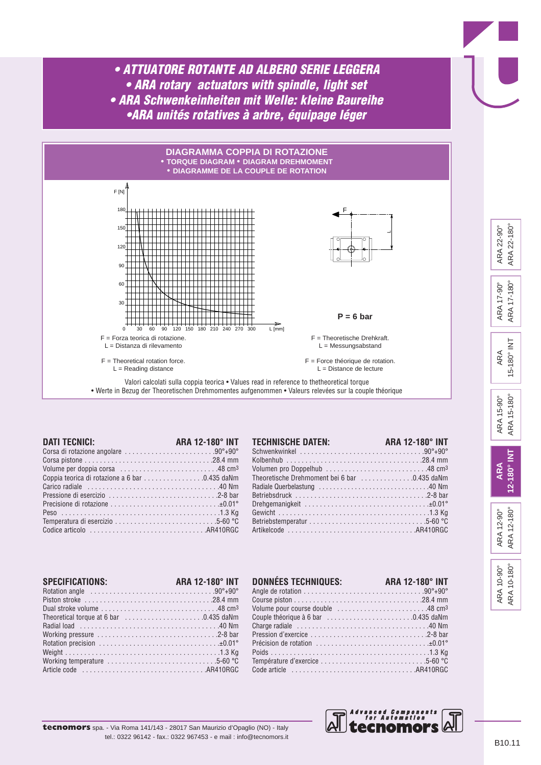

| <b>DATI TECNICI:</b>                                                                       | ARA 12-180° INT |
|--------------------------------------------------------------------------------------------|-----------------|
| Corsa di rotazione angolare 90°+90°                                                        |                 |
|                                                                                            |                 |
| Volume per doppia corsa 48 cm <sup>3</sup>                                                 |                 |
| Coppia teorica di rotazione a 6 bar 0.435 daNm                                             |                 |
|                                                                                            |                 |
|                                                                                            |                 |
|                                                                                            |                 |
|                                                                                            |                 |
|                                                                                            |                 |
| Codice articolo $\ldots, \ldots, \ldots, \ldots, \ldots, \ldots, \ldots, \ldots, ARA10RGC$ |                 |

| <b>TECHNISCHE DATEN:</b>                     | ARA 12-180° INT |
|----------------------------------------------|-----------------|
|                                              |                 |
|                                              |                 |
|                                              |                 |
| Theoretische Drehmoment bei 6 bar 0.435 daNm |                 |
|                                              |                 |
|                                              |                 |
|                                              |                 |
|                                              |                 |
|                                              |                 |
|                                              |                 |

| <b>SPECIFICATIONS:</b>                                                                                   | <b>ARA 12-180° INT</b> |
|----------------------------------------------------------------------------------------------------------|------------------------|
|                                                                                                          |                        |
| Dual stroke volume $\ldots \ldots \ldots \ldots \ldots \ldots \ldots \ldots \ldots$ . 48 cm <sup>3</sup> |                        |
| Theoretical torque at 6 bar 0.435 daNm                                                                   |                        |
|                                                                                                          |                        |
|                                                                                                          |                        |
|                                                                                                          |                        |
|                                                                                                          |                        |
| Working temperature $\ldots \ldots \ldots \ldots \ldots \ldots \ldots \ldots \ldots 5-60$ °C             |                        |
|                                                                                                          |                        |

| <b>DONNÉES TECHNIQUES:</b>                                                                       | <b>ARA 12-180° INT</b> |
|--------------------------------------------------------------------------------------------------|------------------------|
|                                                                                                  |                        |
|                                                                                                  |                        |
| Volume pour course double 48 cm <sup>3</sup>                                                     |                        |
| Couple théorique à 6 bar 0.435 daNm                                                              |                        |
|                                                                                                  |                        |
|                                                                                                  |                        |
| Précision de rotation $\ldots, \ldots, \ldots, \ldots, \ldots, \ldots, \ldots, \pm 0.01^{\circ}$ |                        |
|                                                                                                  |                        |
|                                                                                                  |                        |
|                                                                                                  |                        |



## 15-180° INT 15-180° INT ARA 15-180° ARA 15-180° ARA 15-90° ARA 15-90° 12-180° INT **12-180° INT ARA** ARA 12-180° ARA 12-90° ARA 12-180° ARA 12-90°

ARA 10-180° ARA 10-180° ARA 10-90° ARA 10-90°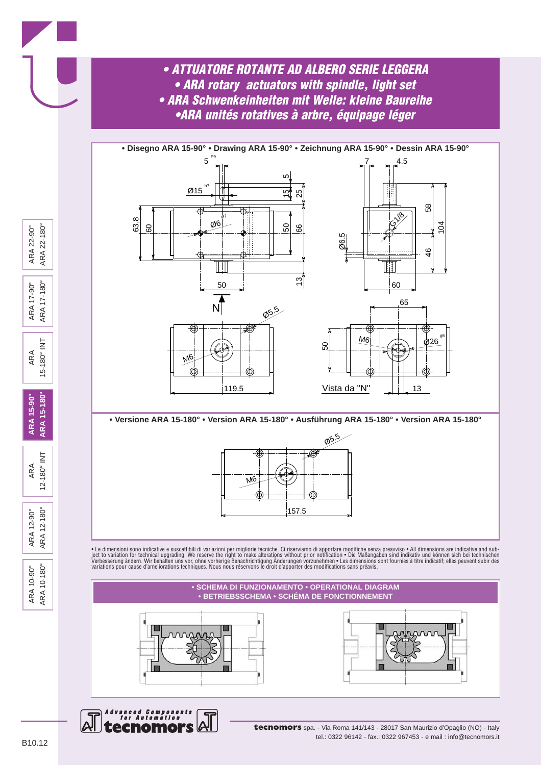



**tecnomors** spa. - Via Roma 141/143 - 28017 San Maurizio d'Opaglio (NO) - Italy tel.: 0322 96142 - fax.: 0322 967453 - e mail : info@tecnomors.it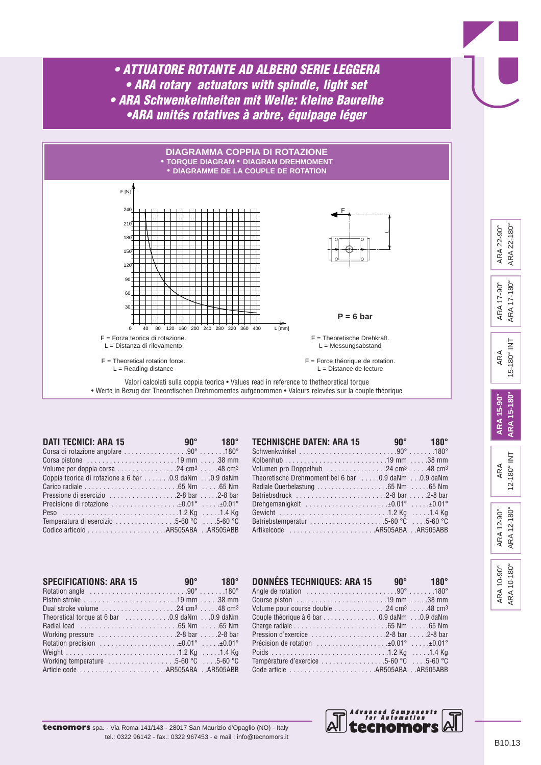

| <b>DATI TECNICI: ARA 15</b>                                                                           | and the set of $90^{\circ}$ and $180^{\circ}$ |
|-------------------------------------------------------------------------------------------------------|-----------------------------------------------|
| Corsa di rotazione angolare 90° 180°                                                                  |                                               |
|                                                                                                       |                                               |
| Volume per doppia corsa $\ldots \ldots \ldots \ldots$ 24 cm <sup>3</sup> $\ldots$ .48 cm <sup>3</sup> |                                               |
| Coppia teorica di rotazione a 6 bar 0.9 daNm 0.9 daNm                                                 |                                               |
|                                                                                                       |                                               |
| Pressione di esercizio 2-8 bar 2-8 bar                                                                |                                               |
| Precisione di rotazione ±0.01° ±0.01°                                                                 |                                               |
|                                                                                                       |                                               |
| Temperatura di esercizio $\ldots \ldots \ldots \ldots \ldots 5$ -60 °C $\ldots 5$ -60 °C              |                                               |
|                                                                                                       |                                               |

| <b>TECHNISCHE DATEN: ARA 15</b>                                                                            | and $90^{\circ}$ and $180^{\circ}$ |
|------------------------------------------------------------------------------------------------------------|------------------------------------|
|                                                                                                            |                                    |
|                                                                                                            |                                    |
| Volumen pro Doppelhub $\ldots \ldots \ldots \ldots \ldots 24$ cm <sup>3</sup> $\ldots$ .48 cm <sup>3</sup> |                                    |
| Theoretische Drehmoment bei 6 bar  0.9 daNm 0.9 daNm                                                       |                                    |
|                                                                                                            |                                    |
| Betriebsdruck 2-8 bar 2-8 bar                                                                              |                                    |
|                                                                                                            |                                    |
|                                                                                                            |                                    |
| Betriebstemperatur 5-60 °C 5-60 °C                                                                         |                                    |
| Artikelcode AR505ABA AR505ABB                                                                              |                                    |

| <b>SPECIFICATIONS: ARA 15</b>                                                                                        | <b>180°</b> 180° |  |
|----------------------------------------------------------------------------------------------------------------------|------------------|--|
| Rotation angle $\ldots \ldots \ldots \ldots \ldots \ldots \ldots \ldots \ldots 90^{\circ} \ldots \ldots 180^{\circ}$ |                  |  |
|                                                                                                                      |                  |  |
| Dual stroke volume $\ldots \ldots \ldots \ldots \ldots 24$ cm <sup>3</sup> $\ldots$ .48 cm <sup>3</sup>              |                  |  |
|                                                                                                                      |                  |  |
|                                                                                                                      |                  |  |
| Working pressure 2-8 bar 2-8 bar                                                                                     |                  |  |
| Rotation precision $\dots\dots\dots\dots\dots\dots\dots\pm 0.01^\circ$ $\dots\dots\pm 0.01^\circ$                    |                  |  |
|                                                                                                                      |                  |  |
| Working temperature $\ldots \ldots \ldots \ldots \ldots 5$ -60 °C $\ldots$ 5-60 °C                                   |                  |  |
|                                                                                                                      |                  |  |

| <b>DONNÉES TECHNIQUES: ARA 15</b>                                                                          | $90^{\circ}$ 180° |
|------------------------------------------------------------------------------------------------------------|-------------------|
|                                                                                                            |                   |
|                                                                                                            |                   |
| Volume pour course double $\ldots \ldots \ldots \ldots 24$ cm <sup>3</sup> $\ldots$ .48 cm <sup>3</sup>    |                   |
|                                                                                                            |                   |
|                                                                                                            |                   |
| Pression d'exercice $\ldots \ldots \ldots \ldots \ldots \ldots 2-8$ bar $\ldots 2-8$ bar                   |                   |
| Précision de rotation $\ldots \ldots \ldots \ldots \ldots \ldots \pm 0.01^{\circ} \ldots \pm 0.01^{\circ}$ |                   |
|                                                                                                            |                   |
| Température d'exercice 5-60 °C 5-60 °C                                                                     |                   |
| Code article AR505ABA AR505ABB                                                                             |                   |



15-180° INT

ARA 17-180°

ARA 22-180°

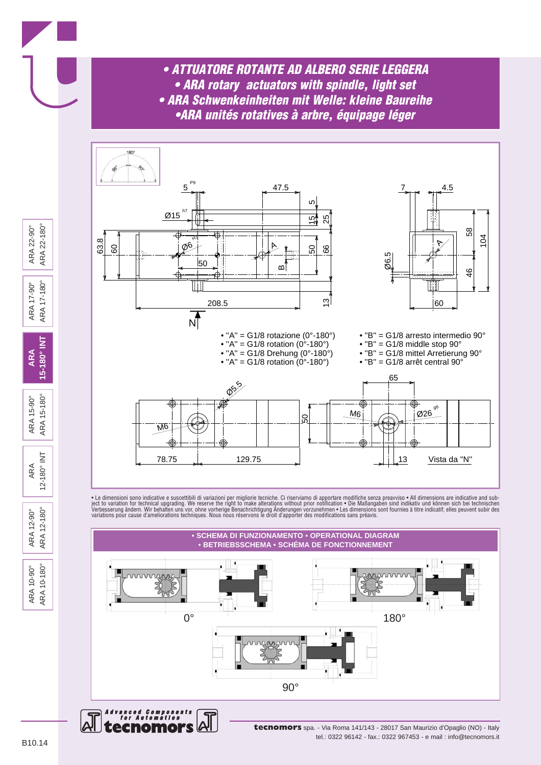



• Le dimensioni sono indicative e suscettibili di variazioni per migliorie tecniche. Ci riserviamo di apportare modifiche senza preavviso • All dimensions are indicative and sub-<br>ject to variation for technical upgrading.



**tecnomors** spa. - Via Roma 141/143 - 28017 San Maurizio d'Opaglio (NO) - Italy tel.: 0322 96142 - fax.: 0322 967453 - e mail : info@tecnomors.it

ecnomors

ARA 22-180° ARA 22-90°

ARA 17-180° ARA 17-90°

5-180° INT **ARA** 

 $15 - 180^{\circ}$ ARA 15-90°

ARA<sub>1</sub>

 $\overline{\Xi}$ 

12-180° IN ARA

ARA 12-180° ARA 12-90°

ARA 10-180° ARA 10-90°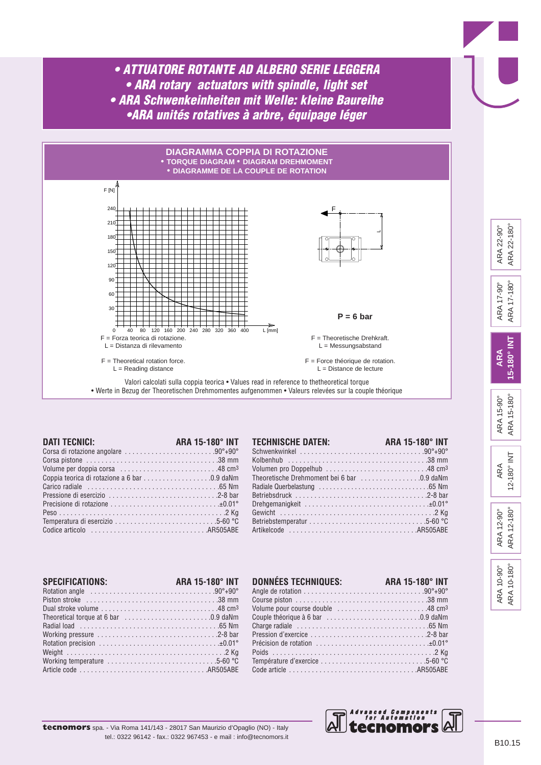

| <b>DATI TECNICI:</b>                                                                               | <b>ARA 15-180° INT</b> |
|----------------------------------------------------------------------------------------------------|------------------------|
| Corsa di rotazione angolare 90°+90°                                                                |                        |
|                                                                                                    |                        |
|                                                                                                    |                        |
| Coppia teorica di rotazione a 6 bar 0.9 daNm                                                       |                        |
|                                                                                                    |                        |
|                                                                                                    |                        |
| Precisione di rotazione $\ldots, \ldots, \ldots, \ldots, \ldots, \ldots, \ldots, \pm 0.01^{\circ}$ |                        |
|                                                                                                    |                        |
|                                                                                                    |                        |
|                                                                                                    |                        |

| <b>TECHNISCHE DATEN:</b>                   | ARA 15-180° INT |
|--------------------------------------------|-----------------|
|                                            |                 |
|                                            |                 |
|                                            |                 |
| Theoretische Drehmoment bei 6 bar 0.9 daNm |                 |
|                                            |                 |
|                                            |                 |
|                                            |                 |
|                                            |                 |
|                                            |                 |
|                                            |                 |

| SPECIFICATIONS:                                                                                       | ARA 15-180° INT |
|-------------------------------------------------------------------------------------------------------|-----------------|
|                                                                                                       |                 |
| Piston stroke $\ldots, \ldots, \ldots, \ldots, \ldots, \ldots, \ldots, \ldots, \ldots, \ldots, 38$ mm |                 |
| Dual stroke volume $\ldots \ldots \ldots \ldots \ldots \ldots \ldots \ldots$ 48 cm <sup>3</sup>       |                 |
| Theoretical torque at 6 bar 0.9 daNm                                                                  |                 |
|                                                                                                       |                 |
|                                                                                                       |                 |
|                                                                                                       |                 |
|                                                                                                       |                 |
|                                                                                                       |                 |
|                                                                                                       |                 |

| <b>DONNEES TECHNIQUES:</b>                                                                       | <b>ARA 15-180° INT</b> |
|--------------------------------------------------------------------------------------------------|------------------------|
|                                                                                                  |                        |
|                                                                                                  |                        |
| Volume pour course double 48 cm <sup>3</sup>                                                     |                        |
|                                                                                                  |                        |
|                                                                                                  |                        |
|                                                                                                  |                        |
| Précision de rotation $\ldots, \ldots, \ldots, \ldots, \ldots, \ldots, \ldots, \pm 0.01^{\circ}$ |                        |
|                                                                                                  |                        |
| Température d'exercice 5-60 °C                                                                   |                        |
|                                                                                                  |                        |



ARA 10-90° ARA 10-180°

ARA 10-180° ARA 10-90°

ARA 12-90° ARA 12-180°

ARA 12-180° ARA 12-90°

ARA 12-180° INT

12-180° INT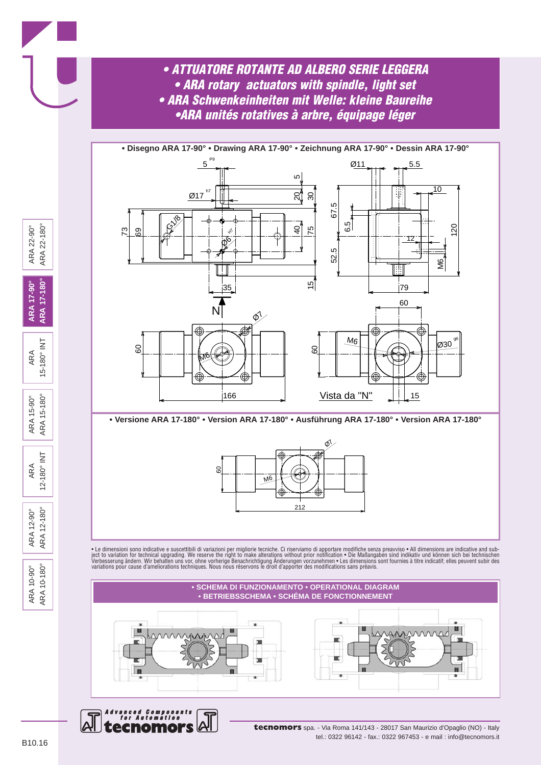

**• Versione ARA 17-180° • Version ARA 17-180° • Ausführung ARA 17-180° • Version ARA 17-180°**



• Le dimensioni sono indicative e suscettibili di variazioni per migliorie tecniche. Ci riserviamo di apportare modifiche senza preavviso • All dimensions are indicative and subject to variation for technical upgrading. We reserve the right to make alterations without prior notification • Die Maßangaben sind indikativ und können sich bei technischen<br>Verbesserung ändern. Wir behalten uns vor, ohne





**tecnomors** spa. - Via Roma 141/143 - 28017 San Maurizio d'Opaglio (NO) - Italy tel.: 0322 96142 - fax.: 0322 967453 - e mail : info@tecnomors.it

ARA 10-90° ARA 10-180°

ARA 10-180° ARA 10-90°

ARA 12-90° ARA 12-180°

ARA 12-180° ARA 12-90°

ARA 12-180° INT

ARA 15-90° ARA 15-180°

ARA 15-180° INT

15-180° INT

 $15 - 180^{\circ}$ ARA 15-90° ARA<sub>1</sub>

 $\overline{\Xi}$ 

 $12 - 180°$ 

**ARA 17-90° ARA 17-180°**

**ARA 17-180° ARA 17-90°** 

ARA 22-90° ARA 22-180°

ARA 22-180° ARA 22-90°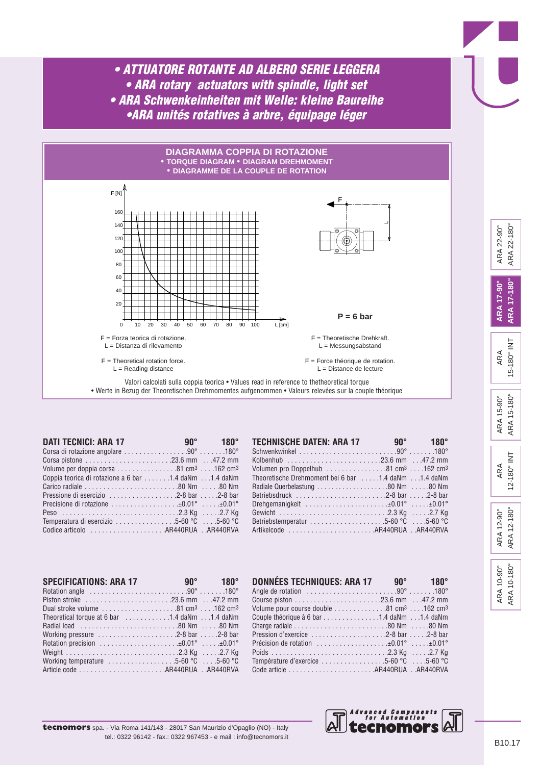

| <b>DATI TECNICI: ARA 17</b>                                                                              | and the set of $90^{\circ}$ and $180^{\circ}$ |
|----------------------------------------------------------------------------------------------------------|-----------------------------------------------|
| Corsa di rotazione angolare 90° 180°                                                                     |                                               |
|                                                                                                          |                                               |
| Volume per doppia corsa $\ldots \ldots \ldots \ldots$ . 81 cm <sup>3</sup> $\ldots$ .162 cm <sup>3</sup> |                                               |
| Coppia teorica di rotazione a 6 bar 1.4 daNm 1.4 daNm                                                    |                                               |
|                                                                                                          |                                               |
|                                                                                                          |                                               |
| Precisione di rotazione ±0.01° ±0.01°                                                                    |                                               |
|                                                                                                          |                                               |
| Temperatura di esercizio 5-60 °C 5-60 °C                                                                 |                                               |
|                                                                                                          |                                               |

| <b>TECHNISCHE DATEN: ARA 17</b>                                                                             | and $90^{\circ}$ and $180^{\circ}$ |
|-------------------------------------------------------------------------------------------------------------|------------------------------------|
|                                                                                                             |                                    |
| Kolbenhub 23.6 mm 47.2 mm                                                                                   |                                    |
| Volumen pro Doppelhub $\ldots \ldots \ldots \ldots \ldots 81$ cm <sup>3</sup> $\ldots$ .162 cm <sup>3</sup> |                                    |
| Theoretische Drehmoment bei 6 bar 1.4 daNm 1.4 daNm                                                         |                                    |
| Radiale Querbelastung 80 Nm 80 Nm                                                                           |                                    |
| Betriebsdruck 2-8 bar 2-8 bar                                                                               |                                    |
| Drehgemanigkeit $\ldots \ldots \ldots \ldots \ldots \ldots \ldots \pm 0.01^{\circ} \ldots \pm 0.01^{\circ}$ |                                    |
|                                                                                                             |                                    |
| Betriebstemperatur 5-60 °C 5-60 °C                                                                          |                                    |
|                                                                                                             |                                    |

| <b>SPECIFICATIONS: ARA 17</b>                                                                                   | and $90^{\circ}$ and $180^{\circ}$ |  |
|-----------------------------------------------------------------------------------------------------------------|------------------------------------|--|
| Rotation angle $\dots\dots\dots\dots\dots\dots\dots\dots90^\circ\dots\dots180^\circ$                            |                                    |  |
|                                                                                                                 |                                    |  |
| Dual stroke volume $\ldots \ldots \ldots \ldots \ldots \ldots 81$ cm <sup>3</sup> $\ldots$ .162 cm <sup>3</sup> |                                    |  |
| Theoretical torque at 6 bar 1.4 daNm 1.4 daNm                                                                   |                                    |  |
|                                                                                                                 |                                    |  |
| Working pressure 2-8 bar 2-8 bar                                                                                |                                    |  |
| Rotation precision $\dots\dots\dots\dots\dots\dots\dots\pm 0.01^\circ$ $\pm 0.01^\circ$                         |                                    |  |
|                                                                                                                 |                                    |  |
| Working temperature $\dots\dots\dots\dots\dots5-60$ °C $\dots5-60$ °C                                           |                                    |  |
|                                                                                                                 |                                    |  |

| DONNÉES TECHNIQUES: ARA 17 90° 180°                                                              |  |
|--------------------------------------------------------------------------------------------------|--|
|                                                                                                  |  |
|                                                                                                  |  |
| Volume pour course double 81 cm <sup>3</sup> 162 cm <sup>3</sup>                                 |  |
| Couple théorique à 6 bar 1.4 daNm 1.4 daNm                                                       |  |
|                                                                                                  |  |
| Pression d'exercice $\ldots \ldots \ldots \ldots \ldots \ldots \ldots$ 2-8 bar $\ldots$ .2-8 bar |  |
| Précision de rotation $\dots\dots\dots\dots\dots\dots40.01^\circ$                                |  |
|                                                                                                  |  |
| Température d'exercice 5-60 °C 5-60 °C                                                           |  |
|                                                                                                  |  |



| ARA        | 12-180° INT |
|------------|-------------|
| ARA 12-90° | ARA 12-180° |

ARA 10-180° ARA 10-180° ARA 10-90° ARA 10-90°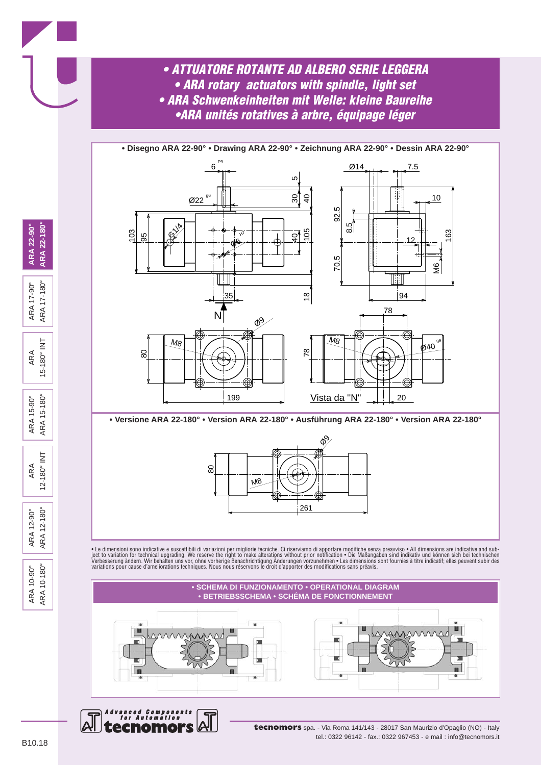

**• Versione ARA 22-180° • Version ARA 22-180° • Ausführung ARA 22-180° • Version ARA 22-180°**



• Le dimensioni sono indicative e suscettibili di variazioni per migliorie tecniche. Ci riserviamo di apportare modifiche senza preavviso • All dimensions are indicative and subject to variation for technical upgrading. We reserve the right to make alterations without prior notification • Die Maßangaben sind indikativ und können sich bei technischen<br>Verbesserung ändern. Wir behalten uns vor, ohne





**tecnomors** spa. - Via Roma 141/143 - 28017 San Maurizio d'Opaglio (NO) - Italy tel.: 0322 96142 - fax.: 0322 967453 - e mail : info@tecnomors.it

ARA 22-180° ARA 22-90°

ARA 17-90°<br>ARA 17-180°

 $\overline{\underline{z}}$ 

 $15 - 180°$ ARA

 $15 - 180°$ ARA 15-90° ARA<sub>1</sub>

 $\overline{\underline{z}}$ ARA  $12 - 180°$ 

ARA 12-180° ARA 12-90°

ARA 10-180° ARA 10-90°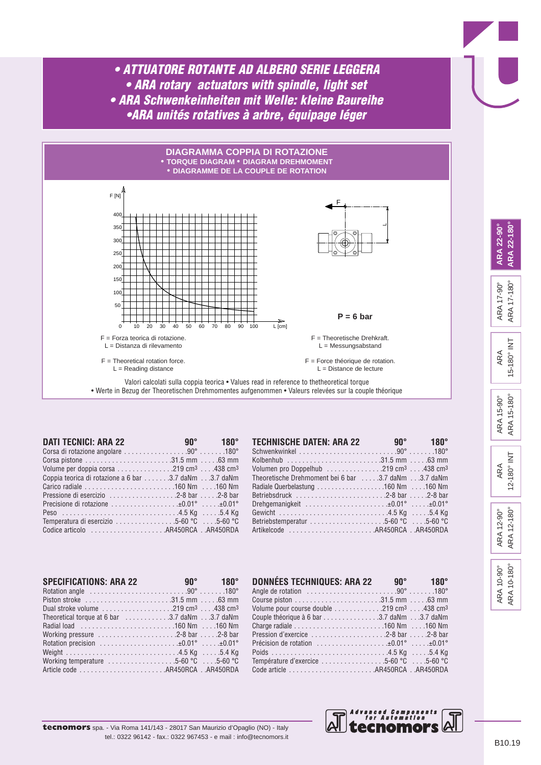

| <b>DATI TECNICI: ARA 22</b>                                                                             | and the set of $90^{\circ}$ and $180^{\circ}$ |
|---------------------------------------------------------------------------------------------------------|-----------------------------------------------|
| Corsa di rotazione angolare 90° 180°                                                                    |                                               |
|                                                                                                         |                                               |
| Volume per doppia corsa $\ldots \ldots \ldots \ldots 219$ cm <sup>3</sup> $\ldots$ .438 cm <sup>3</sup> |                                               |
| Coppia teorica di rotazione a 6 bar 3.7 daNm 3.7 daNm                                                   |                                               |
|                                                                                                         |                                               |
|                                                                                                         |                                               |
| Precisione di rotazione ±0.01° ±0.01°                                                                   |                                               |
|                                                                                                         |                                               |
| Temperatura di esercizio 5-60 °C 5-60 °C                                                                |                                               |
|                                                                                                         |                                               |

| <b>TECHNISCHE DATEN: ARA 22</b>                                                                       | $90^{\circ}$ 180° |
|-------------------------------------------------------------------------------------------------------|-------------------|
|                                                                                                       |                   |
| Kolbenhub 31.5 mm 63 mm                                                                               |                   |
| Volumen pro Doppelhub $\ldots \ldots \ldots \ldots 219$ cm <sup>3</sup> $\ldots$ .438 cm <sup>3</sup> |                   |
| Theoretische Drehmoment bei 6 bar  3.7 daNm 3.7 daNm                                                  |                   |
|                                                                                                       |                   |
| Betriebsdruck 2-8 bar 2-8 bar                                                                         |                   |
|                                                                                                       |                   |
|                                                                                                       |                   |
| Betriebstemperatur 5-60 °C 5-60 °C                                                                    |                   |
| Artikelcode AR450RCAAR450RDA                                                                          |                   |

| <b>SPECIFICATIONS: ARA 22</b>                                                                                        | and $90^{\circ}$ and $180^{\circ}$ |  |
|----------------------------------------------------------------------------------------------------------------------|------------------------------------|--|
| Rotation angle $\ldots \ldots \ldots \ldots \ldots \ldots \ldots \ldots \ldots 90^{\circ} \ldots \ldots 180^{\circ}$ |                                    |  |
|                                                                                                                      |                                    |  |
| Dual stroke volume $\ldots \ldots \ldots \ldots \ldots 219$ cm <sup>3</sup> $\ldots$ .438 cm <sup>3</sup>            |                                    |  |
| Theoretical torque at 6 bar 3.7 daNm 3.7 daNm                                                                        |                                    |  |
|                                                                                                                      |                                    |  |
| Working pressure $\dots\dots\dots\dots\dots\dots$ . 2-8 bar $\dots$ . 2-8 bar                                        |                                    |  |
| Rotation precision $\dots\dots\dots\dots\dots\dots\dots\ldots$                                                       |                                    |  |
|                                                                                                                      |                                    |  |
| Working temperature $\dots\dots\dots\dots\dots5-60$ °C $\dots$ 5-60 °C                                               |                                    |  |
|                                                                                                                      |                                    |  |

| DONNÉES TECHNIQUES: ARA 22                                                                       | $90^{\circ}$ 180° |
|--------------------------------------------------------------------------------------------------|-------------------|
|                                                                                                  |                   |
|                                                                                                  |                   |
| Volume pour course double 219 cm <sup>3</sup> 438 cm <sup>3</sup>                                |                   |
| Couple théorique à 6 bar 3.7 daNm 3.7 daNm                                                       |                   |
|                                                                                                  |                   |
| Pression d'exercice $\ldots \ldots \ldots \ldots \ldots \ldots \ldots$ 2-8 bar $\ldots$ .2-8 bar |                   |
| Précision de rotation $\dots\dots\dots\dots\dots\dots40.01^\circ$                                |                   |
|                                                                                                  |                   |
| Température d'exercice 5-60 °C 5-60 °C                                                           |                   |
|                                                                                                  |                   |



| $12 - 180°$<br>ĄRA |
|--------------------|
|--------------------|

ARA 12-180° ARA 12-180° ARA 12-90° ARA 12-90°

> ARA 10-180° ARA 10-180° ARA 10-90° ARA 10-90°

B10.19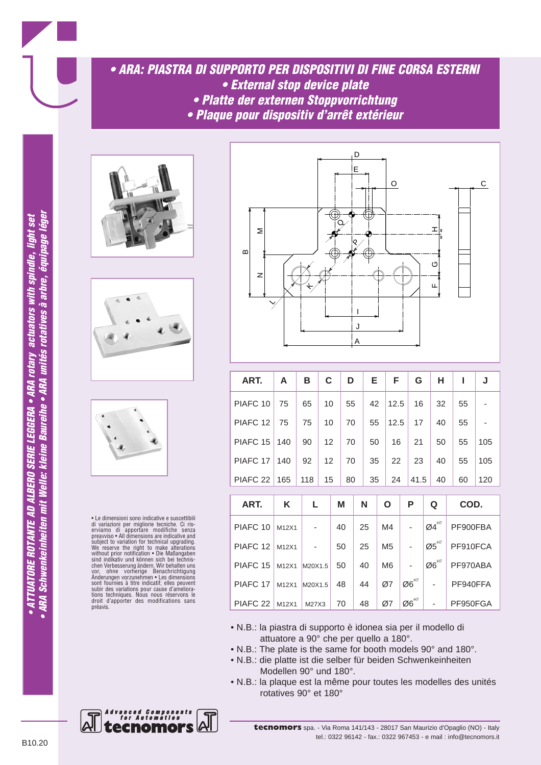*• ARA: PIASTRA DI SUPPORTO PER DISPOSITIVI DI FINE CORSA ESTERNI • External stop device plate • Platte der externen Stoppvorrichtung*

*• Plaque pour dispositiv d'arrêt extérieur*







• Le dimensioni sono indicative e suscettibili di variazioni per migliorie tecniche. Ci ris-erviamo di apportare modifiche senza preavviso • All dimensions are indicative and subject to variation for technical upgrading. We reserve the right to make alterations without prior notification • Die Maßangaben sind indikativ und können sich bei technis-chen Verbesserung ändern. Wir behalten uns vor, ohne vorherige Benachrichtigung Änderungen vorzunehmen • Les dimensions sont fournies à titre indicatif; elles peuvent subir des variations pour cause d'ameliorations techniques. Nous nous réservons le droit d'apporter des modifications sans préavis.



| ART.                | A     | В       | C  |    | D  |                      | Е  |  | F              |                                                      | G                               |                                                           | н                                                       |          | ı        | J        |
|---------------------|-------|---------|----|----|----|----------------------|----|--|----------------|------------------------------------------------------|---------------------------------|-----------------------------------------------------------|---------------------------------------------------------|----------|----------|----------|
| PIAFC <sub>10</sub> | 75    | 65      | 10 |    | 55 |                      | 42 |  | 12.5           |                                                      | 16                              |                                                           | 32                                                      |          | 55       |          |
| PIAFC <sub>12</sub> | 75    | 75      | 10 |    | 70 |                      | 55 |  | 12.5           |                                                      | 17                              |                                                           | 40                                                      |          | 55       |          |
| PIAFC <sub>15</sub> | 140   | 90      | 12 |    | 70 |                      | 50 |  | 16             |                                                      | 21                              |                                                           | 50                                                      |          | 55       | 105      |
| PIAFC <sub>17</sub> | 140   | 92      | 12 |    | 70 | 35                   |    |  | 22             |                                                      | 23                              |                                                           | 40                                                      |          | 55       | 105      |
| PIAFC <sub>22</sub> | 165   | 118     | 15 |    | 80 | 35                   |    |  | 24             |                                                      | 41.5                            |                                                           | 40                                                      |          | 60       | 120      |
| ART.                | K     | Г       |    | M  |    | N                    |    |  | O              |                                                      | P                               |                                                           | Q                                                       |          | COD.     |          |
|                     |       |         |    |    |    |                      |    |  |                |                                                      |                                 |                                                           | $\boldsymbol{\emptyset}$ 4 $\boldsymbol{4}^{\text{H7}}$ |          |          |          |
| PIAFC <sub>10</sub> | M12X1 |         |    | 40 |    | 25                   |    |  | M4             |                                                      |                                 |                                                           |                                                         |          | PF900FBA |          |
| PIAFC <sub>12</sub> | M12X1 |         |    | 50 |    | 25<br>M <sub>5</sub> |    |  |                | ۰                                                    |                                 | $\boldsymbol{\mathcal{O}}\boldsymbol{5}^{_{\mathsf{H7}}}$ |                                                         |          | PF910FCA |          |
| PIAFC <sub>15</sub> | M12X1 | M20X1.5 |    | 50 |    |                      | 40 |  | M <sub>6</sub> |                                                      |                                 | $\boldsymbol{\mathcal{O}6}^{\text{H7}}$                   |                                                         | PF970ABA |          |          |
| PIAFC <sub>17</sub> | M12X1 | M20X1.5 |    | 48 |    |                      | 44 |  | Ø7             | $\boldsymbol{\mathcal{O}}\boldsymbol{6}^{\text{H7}}$ |                                 |                                                           |                                                         | PF940FFA |          |          |
| PIAFC <sub>22</sub> | M12X1 | M27X3   |    | 70 |    | 48                   | Ø7 |  |                |                                                      | $\mathcal{Q6}^\text{\tiny{H7}}$ |                                                           |                                                         |          |          | PF950FGA |

- N.B.: la piastra di supporto è idonea sia per il modello di attuatore a 90° che per quello a 180°.
- N.B.: The plate is the same for booth models 90° and 180°.
- N.B.: die platte ist die selber für beiden Schwenkeinheiten Modellen 90° und 180°.
- N.B.: la plaque est la même pour toutes les modelles des unités rotatives 90° et 180°

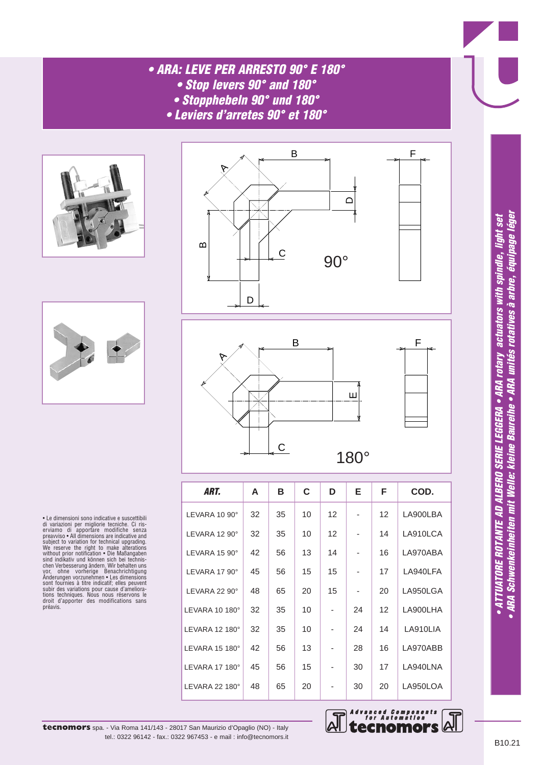## *• ARA: LEVE PER ARRESTO 90° E 180°*

- *Stop levers 90° and 180°*
- *Stopphebeln 90° und 180°*
- *Leviers d'arretes 90° et 180°*





• Le dimensioni sono indicative e suscettibili di variazioni per migliorie tecniche. Ci ris-erviamo di apportare modifiche senza preavviso • All dimensions are indicative and subject to variation for technical upgrading. We reserve the right to make alterations without prior notification • Die Maßangaben sind indikativ und können sich bei technis-<br>chen Verbesserung ändern. Wir behalten uns<br>vor, ohne vorherige Benachrichtligung<br>Anderungen vorzunehmen • Les dimensions<br>sont fournies à titre indicatif; elles peuvent<br>subir des préavis.



B F

| ART.                     | A  | В  | C  | D                        | Е  | F  | COD.     |
|--------------------------|----|----|----|--------------------------|----|----|----------|
| LEVARA 10 90°            | 32 | 35 | 10 | 12                       |    | 12 | LA900LBA |
| LEVARA 12 $90^\circ$     | 32 | 35 | 10 | 12                       |    | 14 | LA910LCA |
| LEVARA 15 90°            | 42 | 56 | 13 | 14                       |    | 16 | LA970ABA |
| LEVARA 17 $90^\circ$     | 45 | 56 | 15 | 15                       |    | 17 | LA940LFA |
| LEVARA 22 90°            | 48 | 65 | 20 | 15                       |    | 20 | LA950LGA |
| LEVARA 10 180 $^{\circ}$ | 32 | 35 | 10 | $\overline{\phantom{a}}$ | 24 | 12 | LA900LHA |
| LEVARA 12 180°           | 32 | 35 | 10 |                          | 24 | 14 | LA910LIA |
| LEVARA 15 180°           | 42 | 56 | 13 |                          | 28 | 16 | LA970ABB |
| LEVARA 17 180°           | 45 | 56 | 15 |                          | 30 | 17 | LA940LNA |
| LEVARA 22 180 $^{\circ}$ | 48 | 65 | 20 |                          | 30 | 20 | LA950LOA |



ש V – ATTUATORE ROTANTE AD ALBERO SERIE LEGGERA • ARA rotary actuators with spindle, light set<br>O – ARA Schwenkeinheiten mit Welle: kleine Baureihe • ARA unités rotatives à arbre, équipage léger (iger<br>N – ARA Schwenkeinhe **• ARA Schwenkeinheiten mit Welle: kleine Baureihe • ARA unités rotatives à arbre, équipage léger** • ATTUATORE ROTANTE AD ALBERO SERIE LEGGERA • ARA rotary actuators with spindle, light set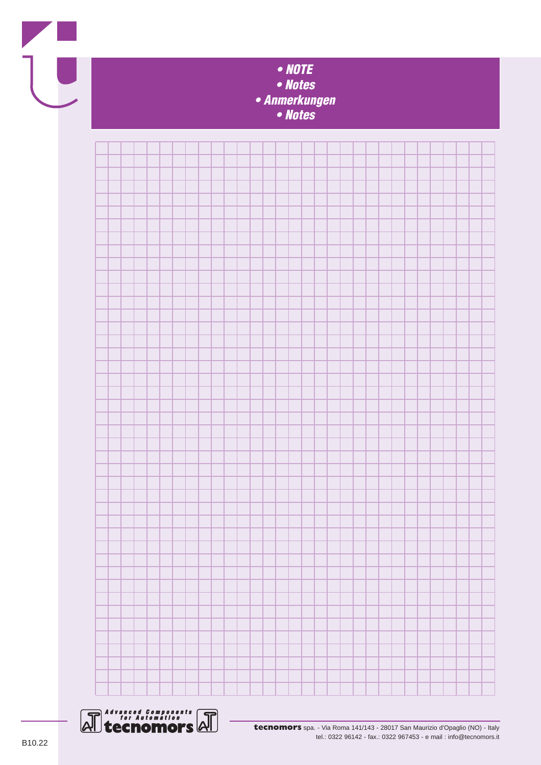